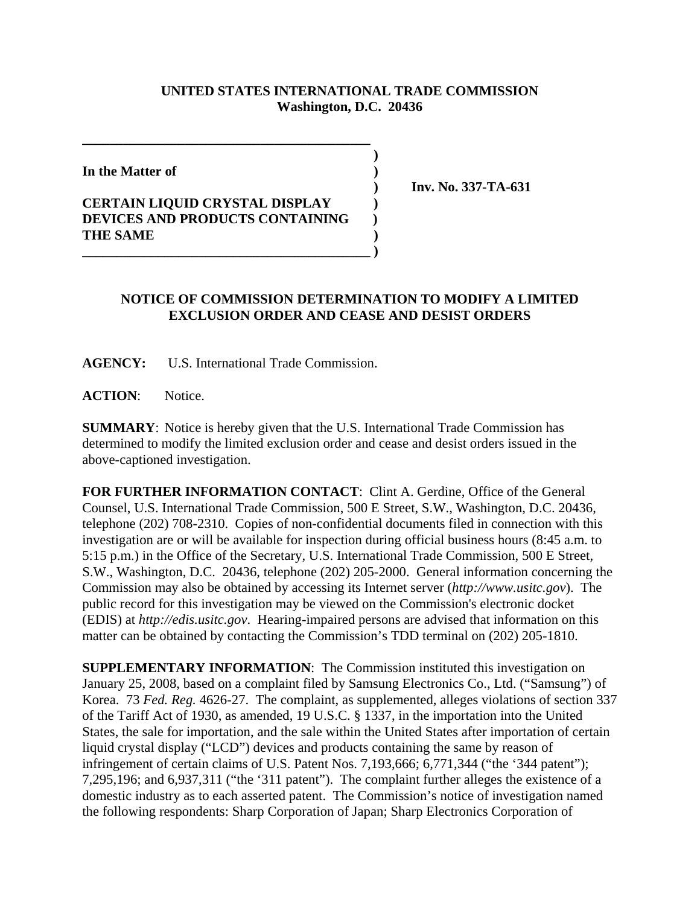## **UNITED STATES INTERNATIONAL TRADE COMMISSION Washington, D.C. 20436**

 **)**

**In the Matter of )**

## **CERTAIN LIQUID CRYSTAL DISPLAY ) DEVICES AND PRODUCTS CONTAINING ) THE SAME ) \_\_\_\_\_\_\_\_\_\_\_\_\_\_\_\_\_\_\_\_\_\_\_\_\_\_\_\_\_\_\_\_\_\_\_\_\_\_\_\_\_\_ )**

**\_\_\_\_\_\_\_\_\_\_\_\_\_\_\_\_\_\_\_\_\_\_\_\_\_\_\_\_\_\_\_\_\_\_\_\_\_\_\_\_\_\_**

 **) Inv. No. 337-TA-631**

## **NOTICE OF COMMISSION DETERMINATION TO MODIFY A LIMITED EXCLUSION ORDER AND CEASE AND DESIST ORDERS**

**AGENCY:** U.S. International Trade Commission.

**ACTION**: Notice.

**SUMMARY**: Notice is hereby given that the U.S. International Trade Commission has determined to modify the limited exclusion order and cease and desist orders issued in the above-captioned investigation.

**FOR FURTHER INFORMATION CONTACT**: Clint A. Gerdine, Office of the General Counsel, U.S. International Trade Commission, 500 E Street, S.W., Washington, D.C. 20436, telephone (202) 708-2310. Copies of non-confidential documents filed in connection with this investigation are or will be available for inspection during official business hours (8:45 a.m. to 5:15 p.m.) in the Office of the Secretary, U.S. International Trade Commission, 500 E Street, S.W., Washington, D.C. 20436, telephone (202) 205-2000. General information concerning the Commission may also be obtained by accessing its Internet server (*http://www.usitc.gov*). The public record for this investigation may be viewed on the Commission's electronic docket (EDIS) at *http://edis.usitc.gov*. Hearing-impaired persons are advised that information on this matter can be obtained by contacting the Commission's TDD terminal on (202) 205-1810.

**SUPPLEMENTARY INFORMATION**: The Commission instituted this investigation on January 25, 2008, based on a complaint filed by Samsung Electronics Co., Ltd. ("Samsung") of Korea. 73 *Fed. Reg.* 4626-27. The complaint, as supplemented, alleges violations of section 337 of the Tariff Act of 1930, as amended, 19 U.S.C. § 1337, in the importation into the United States, the sale for importation, and the sale within the United States after importation of certain liquid crystal display ("LCD") devices and products containing the same by reason of infringement of certain claims of U.S. Patent Nos. 7,193,666; 6,771,344 ("the '344 patent"); 7,295,196; and 6,937,311 ("the '311 patent"). The complaint further alleges the existence of a domestic industry as to each asserted patent. The Commission's notice of investigation named the following respondents: Sharp Corporation of Japan; Sharp Electronics Corporation of